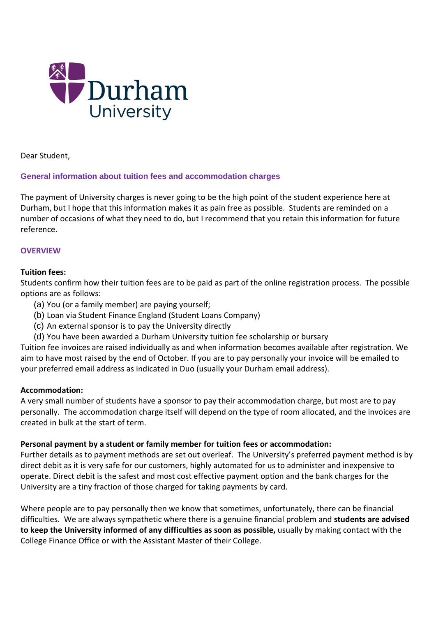

Dear Student,

## **General information about tuition fees and accommodation charges**

The payment of University charges is never going to be the high point of the student experience here at Durham, but I hope that this information makes it as pain free as possible. Students are reminded on a number of occasions of what they need to do, but I recommend that you retain this information for future reference.

#### **OVERVIEW**

#### **Tuition fees:**

Students confirm how their tuition fees are to be paid as part of the online registration process. The possible options are as follows:

- (a) You (or a family member) are paying yourself;
- (b) Loan via Student Finance England (Student Loans Company)
- (c) An external sponsor is to pay the University directly
- (d) You have been awarded a Durham University tuition fee scholarship or bursary

Tuition fee invoices are raised individually as and when information becomes available after registration. We aim to have most raised by the end of October. If you are to pay personally your invoice will be emailed to your preferred email address as indicated in Duo (usually your Durham email address).

#### **Accommodation:**

A very small number of students have a sponsor to pay their accommodation charge, but most are to pay personally. The accommodation charge itself will depend on the type of room allocated, and the invoices are created in bulk at the start of term.

## **Personal payment by a student or family member for tuition fees or accommodation:**

Further details as to payment methods are set out overleaf. The University's preferred payment method is by direct debit as it is very safe for our customers, highly automated for us to administer and inexpensive to operate. Direct debit is the safest and most cost effective payment option and the bank charges for the University are a tiny fraction of those charged for taking payments by card.

Where people are to pay personally then we know that sometimes, unfortunately, there can be financial difficulties. We are always sympathetic where there is a genuine financial problem and **students are advised to keep the University informed of any difficulties as soon as possible,** usually by making contact with the College Finance Office or with the Assistant Master of their College.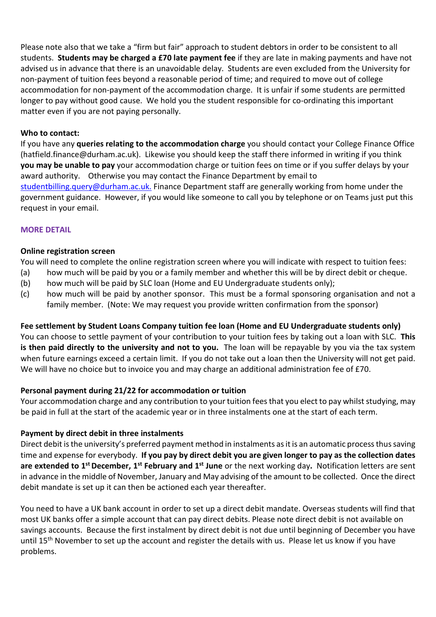Please note also that we take a "firm but fair" approach to student debtors in order to be consistent to all students. **Students may be charged a £70 late payment fee** if they are late in making payments and have not advised us in advance that there is an unavoidable delay. Students are even excluded from the University for non-payment of tuition fees beyond a reasonable period of time; and required to move out of college accommodation for non-payment of the accommodation charge. It is unfair if some students are permitted longer to pay without good cause. We hold you the student responsible for co-ordinating this important matter even if you are not paying personally.

#### **Who to contact:**

If you have any **queries relating to the accommodation charge** you should contact your College Finance Office (hatfield.finance@durham.ac.uk). Likewise you should keep the staff there informed in writing if you think **you may be unable to pay** your accommodation charge or tuition fees on time or if you suffer delays by your award authority. Otherwise you may contact the Finance Department by email to [studentbilling.query@durham.ac.uk.](mailto:studentbilling.query@durham.ac.uk) Finance Department staff are generally working from home under the government guidance. However, if you would like someone to call you by telephone or on Teams just put this request in your email.

#### **MORE DETAIL**

#### **Online registration screen**

You will need to complete the online registration screen where you will indicate with respect to tuition fees:

- (a) how much will be paid by you or a family member and whether this will be by direct debit or cheque.
- (b) how much will be paid by SLC loan (Home and EU Undergraduate students only);
- (c) how much will be paid by another sponsor. This must be a formal sponsoring organisation and not a family member. (Note: We may request you provide written confirmation from the sponsor)

## **Fee settlement by Student Loans Company tuition fee loan (Home and EU Undergraduate students only)**

You can choose to settle payment of your contribution to your tuition fees by taking out a loan with SLC. **This is then paid directly to the university and not to you.** The loan will be repayable by you via the tax system when future earnings exceed a certain limit. If you do not take out a loan then the University will not get paid. We will have no choice but to invoice you and may charge an additional administration fee of £70.

## **Personal payment during 21/22 for accommodation or tuition**

Your accommodation charge and any contribution to your tuition fees that you elect to pay whilst studying, may be paid in full at the start of the academic year or in three instalments one at the start of each term.

## **Payment by direct debit in three instalments**

Direct debit is the university's preferred payment method in instalments as it is an automatic process thus saving time and expense for everybody. **If you pay by direct debit you are given longer to pay as the collection dates are extended to 1st December, 1st February and 1st June** or the next working day**.** Notification letters are sent in advance in the middle of November, January and May advising of the amount to be collected. Once the direct debit mandate is set up it can then be actioned each year thereafter.

You need to have a UK bank account in order to set up a direct debit mandate. Overseas students will find that most UK banks offer a simple account that can pay direct debits. Please note direct debit is not available on savings accounts. Because the first instalment by direct debit is not due until beginning of December you have until 15<sup>th</sup> November to set up the account and register the details with us. Please let us know if you have problems.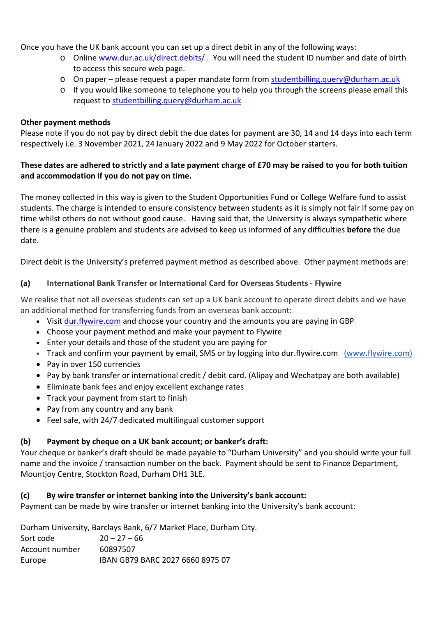Once you have the UK bank account you can set up a direct debit in any of the following ways:

- o Online [www.dur.ac.uk/direct.debits/](http://www.dur.ac.uk/direct.debits/) . You will need the student ID number and date of birth to access this secure web page.
- o On paper please request a paper mandate form from [studentbilling.query@durham.ac.uk](mailto:studentbilling.query@durham.ac.uk)
- o If you would like someone to telephone you to help you through the screens please email this request to [studentbilling.query@durham.ac.uk](mailto:studentbilling.query@durham.ac.uk)

#### **Other payment methods**

Please note if you do not pay by direct debit the due dates for payment are 30, 14 and 14 days into each term respectively i.e. 3November 2021, 24 January 2022 and 9 May 2022 for October starters.

## **These dates are adhered to strictly and a late payment charge of £70 may be raised to you for both tuition and accommodation if you do not pay on time.**

The money collected in this way is given to the Student Opportunities Fund or College Welfare fund to assist students. The charge is intended to ensure consistency between students as it is simply not fair if some pay on time whilst others do not without good cause. Having said that, the University is always sympathetic where there is a genuine problem and students are advised to keep us informed of any difficulties **before** the due date.

Direct debit is the University's preferred payment method as described above. Other payment methods are:

## **(a) International Bank Transfer or International Card for Overseas Students - Flywire**

We realise that not all overseas students can set up a UK bank account to operate direct debits and we have an additional method for transferring funds from an overseas bank account:

- Visit [dur.flywire.com](https://www.peertransfer.com/school/dur) and choose your country and the amounts you are paying in GBP
- Choose your payment method and make your payment to Flywire
- Enter your details and those of the student you are paying for
- Track and confirm your payment by email, SMS or by logging into dur.flywire.com (www.flywire.com)
- Pay in over 150 currencies
- Pay by bank transfer or international credit / debit card. (Alipay and Wechatpay are both available)
- Eliminate bank fees and enjoy excellent exchange rates
- Track your payment from start to finish
- Pay from any country and any bank
- Feel safe, with 24/7 dedicated multilingual customer support

# **(b) Payment by cheque on a UK bank account; or banker's draft:**

Your cheque or banker's draft should be made payable to "Durham University" and you should write your full name and the invoice / transaction number on the back. Payment should be sent to Finance Department, Mountjoy Centre, Stockton Road, Durham DH1 3LE.

## **(c) By wire transfer or internet banking into the University's bank account:**

Payment can be made by wire transfer or internet banking into the University's bank account:

Durham University, Barclays Bank, 6/7 Market Place, Durham City.

Sort code  $20 - 27 - 66$ Account number 60897507 Europe IBAN GB79 BARC 2027 6660 8975 07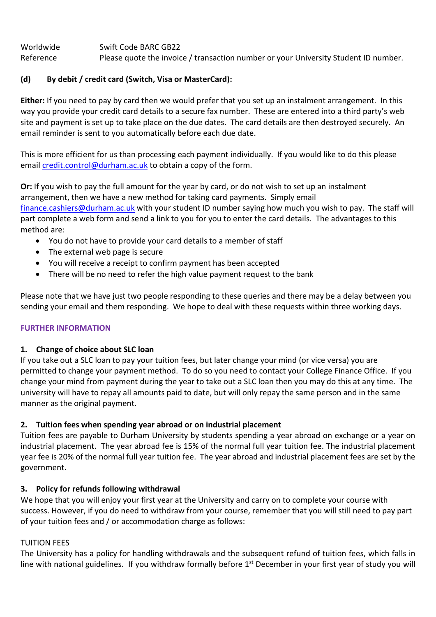Worldwide Swift Code BARC GB22 Reference Please quote the invoice / transaction number or your University Student ID number.

## **(d) By debit / credit card (Switch, Visa or MasterCard):**

**Either:** If you need to pay by card then we would prefer that you set up an instalment arrangement. In this way you provide your credit card details to a secure fax number. These are entered into a third party's web site and payment is set up to take place on the due dates. The card details are then destroyed securely. An email reminder is sent to you automatically before each due date.

This is more efficient for us than processing each payment individually. If you would like to do this please email [credit.control@durham.ac.uk](mailto:credit.control@durham.ac.uk) to obtain a copy of the form.

**Or:** If you wish to pay the full amount for the year by card, or do not wish to set up an instalment arrangement, then we have a new method for taking card payments. Simply email [finance.cashiers@durham.ac.uk](mailto:finance.cashiers@durham.ac.uk) with your student ID number saying how much you wish to pay. The staff will part complete a web form and send a link to you for you to enter the card details. The advantages to this method are:

- You do not have to provide your card details to a member of staff
- The external web page is secure
- You will receive a receipt to confirm payment has been accepted
- There will be no need to refer the high value payment request to the bank

Please note that we have just two people responding to these queries and there may be a delay between you sending your email and them responding. We hope to deal with these requests within three working days.

## **FURTHER INFORMATION**

## **1. Change of choice about SLC loan**

If you take out a SLC loan to pay your tuition fees, but later change your mind (or vice versa) you are permitted to change your payment method. To do so you need to contact your College Finance Office. If you change your mind from payment during the year to take out a SLC loan then you may do this at any time. The university will have to repay all amounts paid to date, but will only repay the same person and in the same manner as the original payment.

## **2. Tuition fees when spending year abroad or on industrial placement**

Tuition fees are payable to Durham University by students spending a year abroad on exchange or a year on industrial placement. The year abroad fee is 15% of the normal full year tuition fee. The industrial placement year fee is 20% of the normal full year tuition fee. The year abroad and industrial placement fees are set by the government.

## **3. Policy for refunds following withdrawal**

We hope that you will enjoy your first year at the University and carry on to complete your course with success. However, if you do need to withdraw from your course, remember that you will still need to pay part of your tuition fees and / or accommodation charge as follows:

## TUITION FEES

The University has a policy for handling withdrawals and the subsequent refund of tuition fees, which falls in line with national guidelines. If you withdraw formally before 1<sup>st</sup> December in your first year of study you will